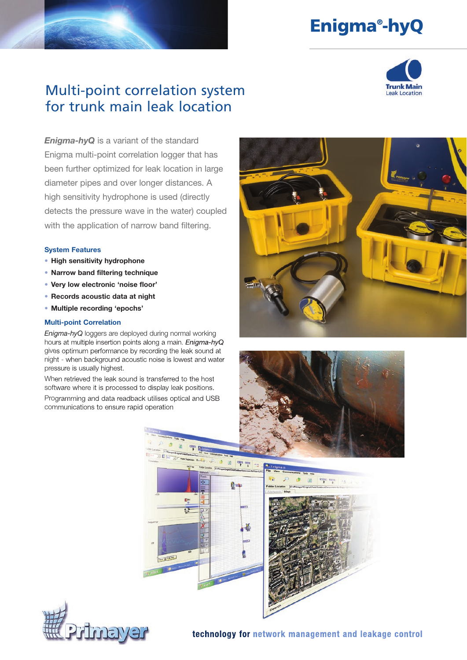# Enigma® -hyQ



## Multi-point correlation system for trunk main leak location

*Enigma-hyQ* is a variant of the standard Enigma multi-point correlation logger that has been further optimized for leak location in large diameter pipes and over longer distances. A high sensitivity hydrophone is used (directly detects the pressure wave in the water) coupled with the application of narrow band filtering.

### System Features

- High sensitivity hydrophone
- Narrow band filtering technique
- Very low electronic 'noise floor'
- Records acoustic data at night
- Multiple recording 'epochs'

### Multi-point Correlation

*Enigma-hyQ* loggers are deployed during normal working hours at multiple insertion points along a main. *Enigma-hyQ* gives optimum performance by recording the leak sound at night - when background acoustic noise is lowest and water pressure is usually highest.

When retrieved the leak sound is transferred to the host software where it is processed to display leak positions. Programming and data readback utilises optical and USB communications to ensure rapid operation









technology for network management and leakage control